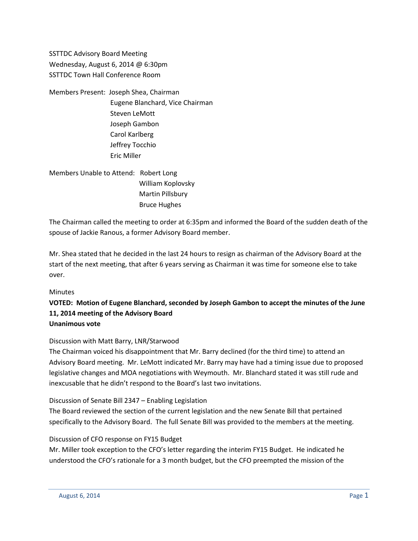SSTTDC Advisory Board Meeting Wednesday, August 6, 2014 @ 6:30pm SSTTDC Town Hall Conference Room

Members Present: Joseph Shea, Chairman Eugene Blanchard, Vice Chairman Steven LeMott Joseph Gambon Carol Karlberg Jeffrey Tocchio Eric Miller

Members Unable to Attend: Robert Long William Koplovsky Martin Pillsbury Bruce Hughes

The Chairman called the meeting to order at 6:35pm and informed the Board of the sudden death of the spouse of Jackie Ranous, a former Advisory Board member.

Mr. Shea stated that he decided in the last 24 hours to resign as chairman of the Advisory Board at the start of the next meeting, that after 6 years serving as Chairman it was time for someone else to take over.

### **Minutes**

## **VOTED: Motion of Eugene Blanchard, seconded by Joseph Gambon to accept the minutes of the June 11, 2014 meeting of the Advisory Board Unanimous vote**

## Discussion with Matt Barry, LNR/Starwood

The Chairman voiced his disappointment that Mr. Barry declined (for the third time) to attend an Advisory Board meeting. Mr. LeMott indicated Mr. Barry may have had a timing issue due to proposed legislative changes and MOA negotiations with Weymouth. Mr. Blanchard stated it was still rude and inexcusable that he didn't respond to the Board's last two invitations.

### Discussion of Senate Bill 2347 – Enabling Legislation

The Board reviewed the section of the current legislation and the new Senate Bill that pertained specifically to the Advisory Board. The full Senate Bill was provided to the members at the meeting.

### Discussion of CFO response on FY15 Budget

Mr. Miller took exception to the CFO's letter regarding the interim FY15 Budget. He indicated he understood the CFO's rationale for a 3 month budget, but the CFO preempted the mission of the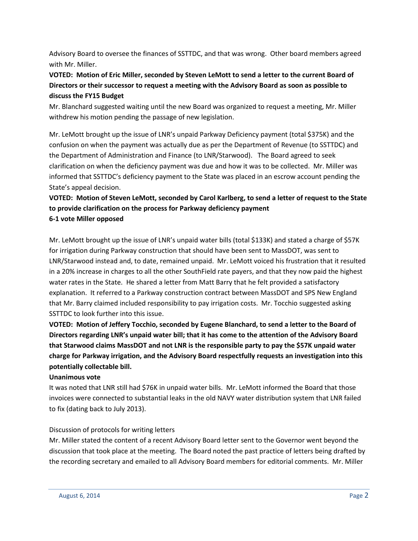Advisory Board to oversee the finances of SSTTDC, and that was wrong. Other board members agreed with Mr. Miller.

# **VOTED: Motion of Eric Miller, seconded by Steven LeMott to send a letter to the current Board of Directors or their successor to request a meeting with the Advisory Board as soon as possible to discuss the FY15 Budget**

Mr. Blanchard suggested waiting until the new Board was organized to request a meeting, Mr. Miller withdrew his motion pending the passage of new legislation.

Mr. LeMott brought up the issue of LNR's unpaid Parkway Deficiency payment (total \$375K) and the confusion on when the payment was actually due as per the Department of Revenue (to SSTTDC) and the Department of Administration and Finance (to LNR/Starwood). The Board agreed to seek clarification on when the deficiency payment was due and how it was to be collected. Mr. Miller was informed that SSTTDC's deficiency payment to the State was placed in an escrow account pending the State's appeal decision.

# **VOTED: Motion of Steven LeMott, seconded by Carol Karlberg, to send a letter of request to the State to provide clarification on the process for Parkway deficiency payment 6-1 vote Miller opposed**

Mr. LeMott brought up the issue of LNR's unpaid water bills (total \$133K) and stated a charge of \$57K for irrigation during Parkway construction that should have been sent to MassDOT, was sent to LNR/Starwood instead and, to date, remained unpaid. Mr. LeMott voiced his frustration that it resulted in a 20% increase in charges to all the other SouthField rate payers, and that they now paid the highest water rates in the State. He shared a letter from Matt Barry that he felt provided a satisfactory explanation. It referred to a Parkway construction contract between MassDOT and SPS New England that Mr. Barry claimed included responsibility to pay irrigation costs. Mr. Tocchio suggested asking SSTTDC to look further into this issue.

**VOTED: Motion of Jeffery Tocchio, seconded by Eugene Blanchard, to send a letter to the Board of Directors regarding LNR's unpaid water bill; that it has come to the attention of the Advisory Board that Starwood claims MassDOT and not LNR is the responsible party to pay the \$57K unpaid water charge for Parkway irrigation, and the Advisory Board respectfully requests an investigation into this potentially collectable bill.**

## **Unanimous vote**

It was noted that LNR still had \$76K in unpaid water bills. Mr. LeMott informed the Board that those invoices were connected to substantial leaks in the old NAVY water distribution system that LNR failed to fix (dating back to July 2013).

## Discussion of protocols for writing letters

Mr. Miller stated the content of a recent Advisory Board letter sent to the Governor went beyond the discussion that took place at the meeting. The Board noted the past practice of letters being drafted by the recording secretary and emailed to all Advisory Board members for editorial comments. Mr. Miller